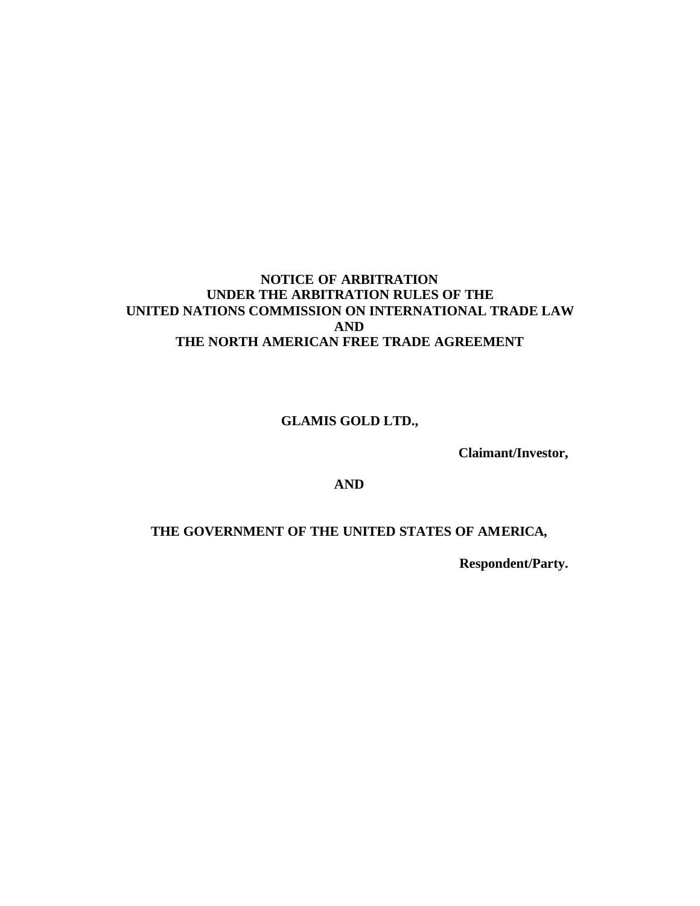#### **NOTICE OF ARBITRATION UNDER THE ARBITRATION RULES OF THE UNITED NATIONS COMMISSION ON INTERNATIONAL TRADE LAW AND THE NORTH AMERICAN FREE TRADE AGREEMENT**

**GLAMIS GOLD LTD.,**

**Claimant/Investor,**

**AND**

## **THE GOVERNMENT OF THE UNITED STATES OF AMERICA,**

**Respondent/Party.**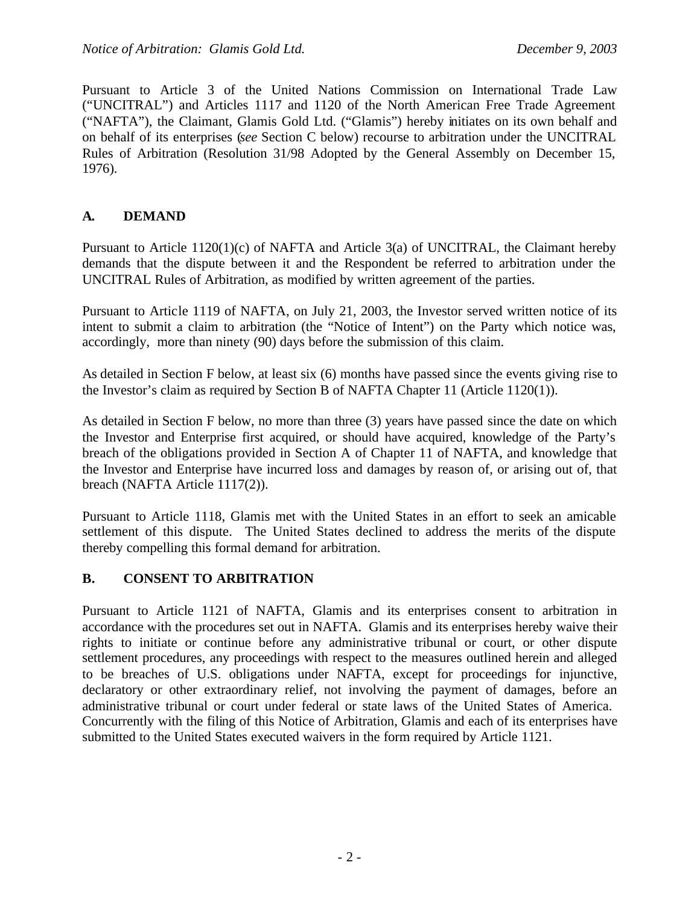Pursuant to Article 3 of the United Nations Commission on International Trade Law ("UNCITRAL") and Articles 1117 and 1120 of the North American Free Trade Agreement ("NAFTA"), the Claimant, Glamis Gold Ltd. ("Glamis") hereby initiates on its own behalf and on behalf of its enterprises (*see* Section C below) recourse to arbitration under the UNCITRAL Rules of Arbitration (Resolution 31/98 Adopted by the General Assembly on December 15, 1976).

#### **A. DEMAND**

Pursuant to Article 1120(1)(c) of NAFTA and Article 3(a) of UNCITRAL, the Claimant hereby demands that the dispute between it and the Respondent be referred to arbitration under the UNCITRAL Rules of Arbitration, as modified by written agreement of the parties.

Pursuant to Article 1119 of NAFTA, on July 21, 2003, the Investor served written notice of its intent to submit a claim to arbitration (the "Notice of Intent") on the Party which notice was, accordingly, more than ninety (90) days before the submission of this claim.

As detailed in Section F below, at least six (6) months have passed since the events giving rise to the Investor's claim as required by Section B of NAFTA Chapter 11 (Article 1120(1)).

As detailed in Section F below, no more than three (3) years have passed since the date on which the Investor and Enterprise first acquired, or should have acquired, knowledge of the Party's breach of the obligations provided in Section A of Chapter 11 of NAFTA, and knowledge that the Investor and Enterprise have incurred loss and damages by reason of, or arising out of, that breach (NAFTA Article 1117(2)).

Pursuant to Article 1118, Glamis met with the United States in an effort to seek an amicable settlement of this dispute. The United States declined to address the merits of the dispute thereby compelling this formal demand for arbitration.

### **B. CONSENT TO ARBITRATION**

Pursuant to Article 1121 of NAFTA, Glamis and its enterprises consent to arbitration in accordance with the procedures set out in NAFTA. Glamis and its enterprises hereby waive their rights to initiate or continue before any administrative tribunal or court, or other dispute settlement procedures, any proceedings with respect to the measures outlined herein and alleged to be breaches of U.S. obligations under NAFTA, except for proceedings for injunctive, declaratory or other extraordinary relief, not involving the payment of damages, before an administrative tribunal or court under federal or state laws of the United States of America. Concurrently with the filing of this Notice of Arbitration, Glamis and each of its enterprises have submitted to the United States executed waivers in the form required by Article 1121.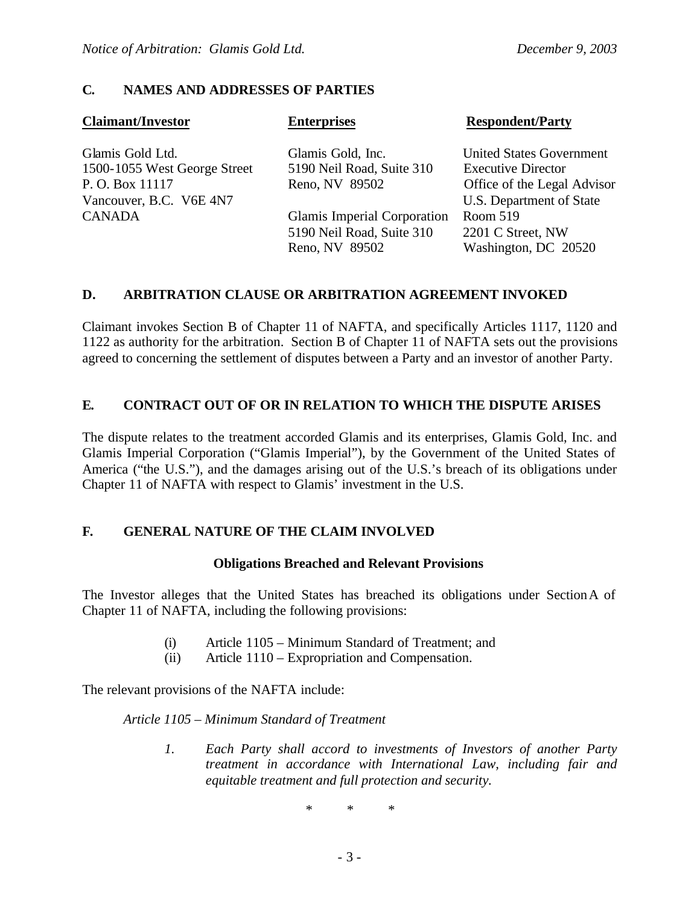#### **C. NAMES AND ADDRESSES OF PARTIES**

| <b>Claimant/Investor</b>     | <b>Enterprises</b>          | <b>Respondent/Party</b>         |
|------------------------------|-----------------------------|---------------------------------|
| Glamis Gold Ltd.             | Glamis Gold, Inc.           | <b>United States Government</b> |
| 1500-1055 West George Street | 5190 Neil Road, Suite 310   | <b>Executive Director</b>       |
| P.O. Box 11117               | Reno, NV 89502              | Office of the Legal Advisor     |
| Vancouver, B.C. V6E 4N7      |                             | U.S. Department of State        |
| <b>CANADA</b>                | Glamis Imperial Corporation | Room 519                        |
|                              | 5190 Neil Road, Suite 310   | 2201 C Street, NW               |
|                              | Reno, NV 89502              | Washington, DC 20520            |

#### **D. ARBITRATION CLAUSE OR ARBITRATION AGREEMENT INVOKED**

Claimant invokes Section B of Chapter 11 of NAFTA, and specifically Articles 1117, 1120 and 1122 as authority for the arbitration. Section B of Chapter 11 of NAFTA sets out the provisions agreed to concerning the settlement of disputes between a Party and an investor of another Party.

#### **E. CONTRACT OUT OF OR IN RELATION TO WHICH THE DISPUTE ARISES**

The dispute relates to the treatment accorded Glamis and its enterprises, Glamis Gold, Inc. and Glamis Imperial Corporation ("Glamis Imperial"), by the Government of the United States of America ("the U.S."), and the damages arising out of the U.S.'s breach of its obligations under Chapter 11 of NAFTA with respect to Glamis' investment in the U.S.

#### **F. GENERAL NATURE OF THE CLAIM INVOLVED**

#### **Obligations Breached and Relevant Provisions**

The Investor alleges that the United States has breached its obligations under SectionA of Chapter 11 of NAFTA, including the following provisions:

- (i) Article 1105 Minimum Standard of Treatment; and
- (ii) Article 1110 Expropriation and Compensation.

The relevant provisions of the NAFTA include:

*Article 1105 – Minimum Standard of Treatment*

*1. Each Party shall accord to investments of Investors of another Party treatment in accordance with International Law, including fair and equitable treatment and full protection and security.*

*\* \* \**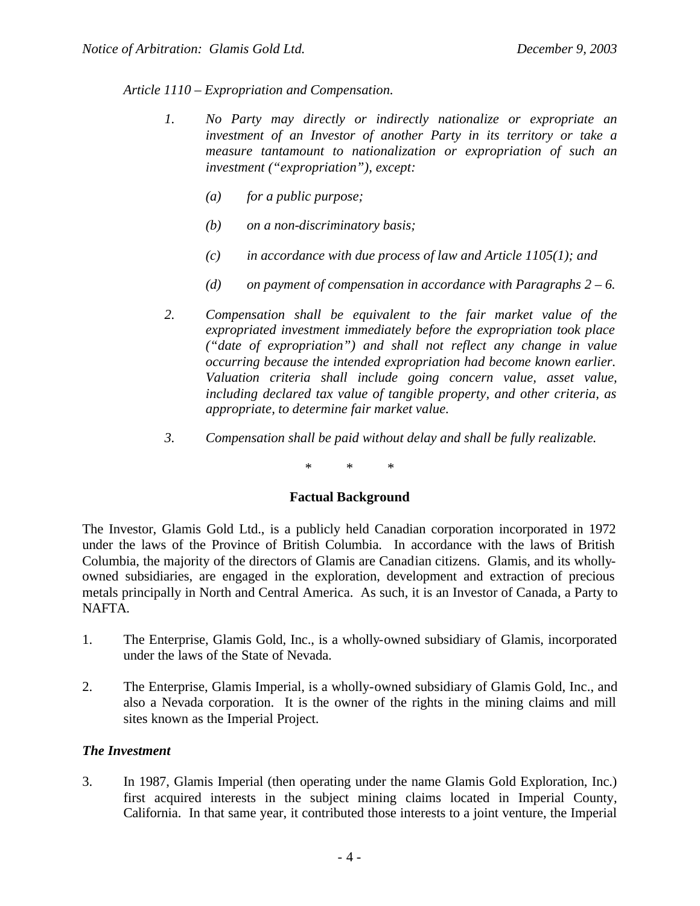*Article 1110 – Expropriation and Compensation.*

- *1. No Party may directly or indirectly nationalize or expropriate an investment of an Investor of another Party in its territory or take a measure tantamount to nationalization or expropriation of such an investment ("expropriation"), except:*
	- *(a) for a public purpose;*
	- *(b) on a non-discriminatory basis;*
	- *(c) in accordance with due process of law and Article 1105(1); and*
	- *(d) on payment of compensation in accordance with Paragraphs 2 6.*
- *2. Compensation shall be equivalent to the fair market value of the expropriated investment immediately before the expropriation took place ("date of expropriation") and shall not reflect any change in value occurring because the intended expropriation had become known earlier. Valuation criteria shall include going concern value, asset value, including declared tax value of tangible property, and other criteria, as appropriate, to determine fair market value.*
- *3. Compensation shall be paid without delay and shall be fully realizable.*

\* \* \*

#### **Factual Background**

The Investor, Glamis Gold Ltd., is a publicly held Canadian corporation incorporated in 1972 under the laws of the Province of British Columbia. In accordance with the laws of British Columbia, the majority of the directors of Glamis are Canadian citizens. Glamis, and its whollyowned subsidiaries, are engaged in the exploration, development and extraction of precious metals principally in North and Central America. As such, it is an Investor of Canada, a Party to NAFTA.

- 1. The Enterprise, Glamis Gold, Inc., is a wholly-owned subsidiary of Glamis, incorporated under the laws of the State of Nevada.
- 2. The Enterprise, Glamis Imperial, is a wholly-owned subsidiary of Glamis Gold, Inc., and also a Nevada corporation. It is the owner of the rights in the mining claims and mill sites known as the Imperial Project.

#### *The Investment*

3. In 1987, Glamis Imperial (then operating under the name Glamis Gold Exploration, Inc.) first acquired interests in the subject mining claims located in Imperial County, California. In that same year, it contributed those interests to a joint venture, the Imperial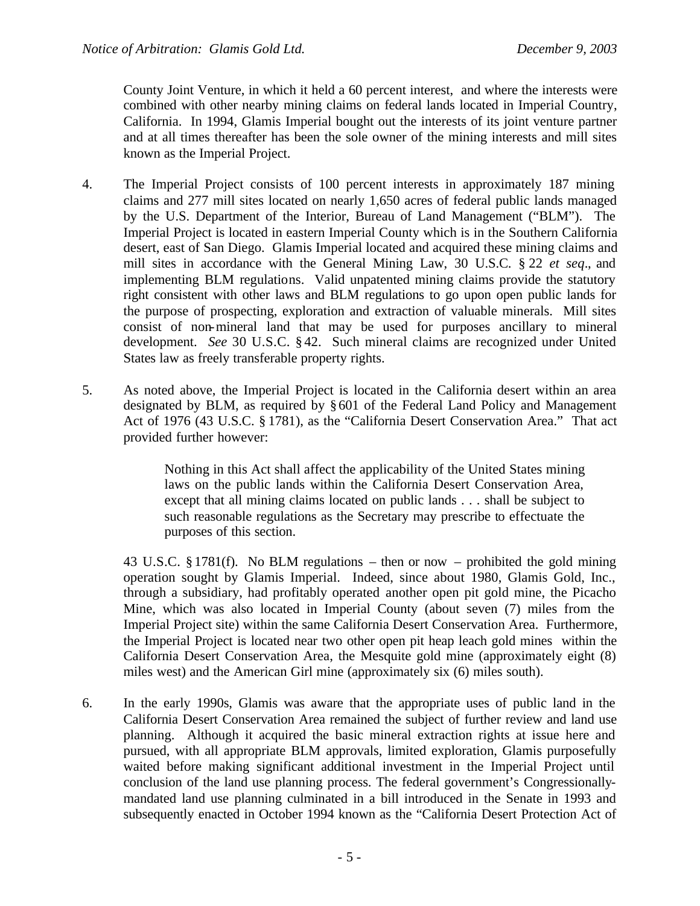County Joint Venture, in which it held a 60 percent interest, and where the interests were combined with other nearby mining claims on federal lands located in Imperial Country, California. In 1994, Glamis Imperial bought out the interests of its joint venture partner and at all times thereafter has been the sole owner of the mining interests and mill sites known as the Imperial Project.

- 4. The Imperial Project consists of 100 percent interests in approximately 187 mining claims and 277 mill sites located on nearly 1,650 acres of federal public lands managed by the U.S. Department of the Interior, Bureau of Land Management ("BLM"). The Imperial Project is located in eastern Imperial County which is in the Southern California desert, east of San Diego. Glamis Imperial located and acquired these mining claims and mill sites in accordance with the General Mining Law, 30 U.S.C. § 22 *et seq*., and implementing BLM regulations. Valid unpatented mining claims provide the statutory right consistent with other laws and BLM regulations to go upon open public lands for the purpose of prospecting, exploration and extraction of valuable minerals. Mill sites consist of non-mineral land that may be used for purposes ancillary to mineral development. *See* 30 U.S.C. § 42. Such mineral claims are recognized under United States law as freely transferable property rights.
- 5. As noted above, the Imperial Project is located in the California desert within an area designated by BLM, as required by §601 of the Federal Land Policy and Management Act of 1976 (43 U.S.C. § 1781), as the "California Desert Conservation Area." That act provided further however:

Nothing in this Act shall affect the applicability of the United States mining laws on the public lands within the California Desert Conservation Area, except that all mining claims located on public lands . . . shall be subject to such reasonable regulations as the Secretary may prescribe to effectuate the purposes of this section.

43 U.S.C. § 1781(f). No BLM regulations – then or now – prohibited the gold mining operation sought by Glamis Imperial. Indeed, since about 1980, Glamis Gold, Inc., through a subsidiary, had profitably operated another open pit gold mine, the Picacho Mine, which was also located in Imperial County (about seven (7) miles from the Imperial Project site) within the same California Desert Conservation Area. Furthermore, the Imperial Project is located near two other open pit heap leach gold mines within the California Desert Conservation Area, the Mesquite gold mine (approximately eight (8) miles west) and the American Girl mine (approximately six (6) miles south).

6. In the early 1990s, Glamis was aware that the appropriate uses of public land in the California Desert Conservation Area remained the subject of further review and land use planning. Although it acquired the basic mineral extraction rights at issue here and pursued, with all appropriate BLM approvals, limited exploration, Glamis purposefully waited before making significant additional investment in the Imperial Project until conclusion of the land use planning process. The federal government's Congressionallymandated land use planning culminated in a bill introduced in the Senate in 1993 and subsequently enacted in October 1994 known as the "California Desert Protection Act of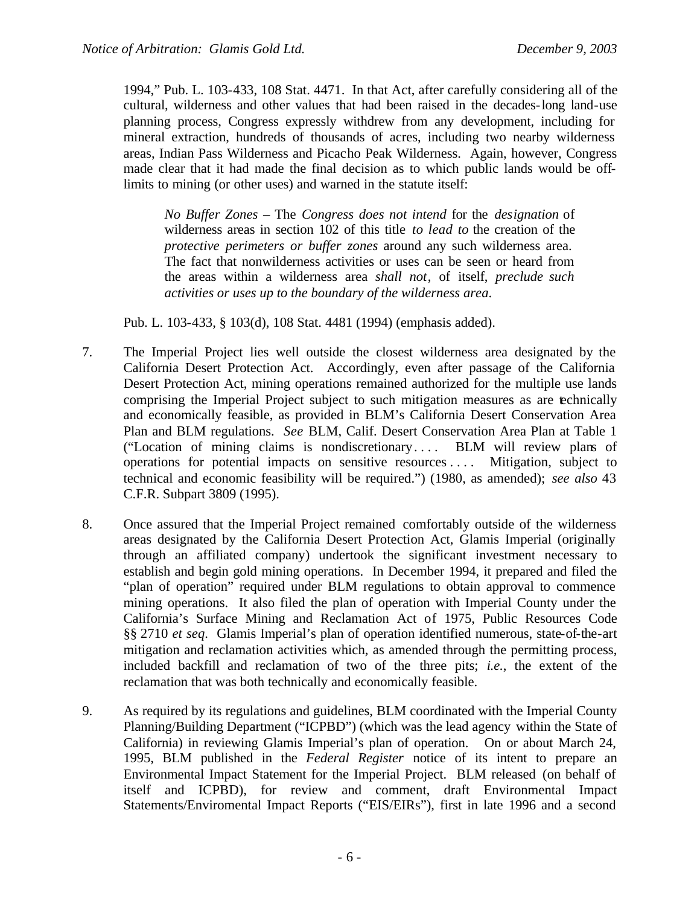1994," Pub. L. 103-433, 108 Stat. 4471. In that Act, after carefully considering all of the cultural, wilderness and other values that had been raised in the decades-long land-use planning process, Congress expressly withdrew from any development, including for mineral extraction, hundreds of thousands of acres, including two nearby wilderness areas, Indian Pass Wilderness and Picacho Peak Wilderness. Again, however, Congress made clear that it had made the final decision as to which public lands would be offlimits to mining (or other uses) and warned in the statute itself:

*No Buffer Zones* – The *Congress does not intend* for the *designation* of wilderness areas in section 102 of this title *to lead to* the creation of the *protective perimeters or buffer zones* around any such wilderness area. The fact that nonwilderness activities or uses can be seen or heard from the areas within a wilderness area *shall not*, of itself, *preclude such activities or uses up to the boundary of the wilderness area*.

Pub. L. 103-433, § 103(d), 108 Stat. 4481 (1994) (emphasis added).

- 7. The Imperial Project lies well outside the closest wilderness area designated by the California Desert Protection Act. Accordingly, even after passage of the California Desert Protection Act, mining operations remained authorized for the multiple use lands comprising the Imperial Project subject to such mitigation measures as are technically and economically feasible, as provided in BLM's California Desert Conservation Area Plan and BLM regulations. *See* BLM, Calif. Desert Conservation Area Plan at Table 1 ("Location of mining claims is nondiscretionary. . . . BLM will review plans of operations for potential impacts on sensitive resources . . . . Mitigation, subject to technical and economic feasibility will be required.") (1980, as amended); *see also* 43 C.F.R. Subpart 3809 (1995).
- 8. Once assured that the Imperial Project remained comfortably outside of the wilderness areas designated by the California Desert Protection Act, Glamis Imperial (originally through an affiliated company) undertook the significant investment necessary to establish and begin gold mining operations. In December 1994, it prepared and filed the "plan of operation" required under BLM regulations to obtain approval to commence mining operations. It also filed the plan of operation with Imperial County under the California's Surface Mining and Reclamation Act of 1975, Public Resources Code §§ 2710 *et seq*. Glamis Imperial's plan of operation identified numerous, state-of-the-art mitigation and reclamation activities which, as amended through the permitting process, included backfill and reclamation of two of the three pits; *i.e.*, the extent of the reclamation that was both technically and economically feasible.
- 9. As required by its regulations and guidelines, BLM coordinated with the Imperial County Planning/Building Department ("ICPBD") (which was the lead agency within the State of California) in reviewing Glamis Imperial's plan of operation. On or about March 24, 1995, BLM published in the *Federal Register* notice of its intent to prepare an Environmental Impact Statement for the Imperial Project. BLM released (on behalf of itself and ICPBD), for review and comment, draft Environmental Impact Statements/Enviromental Impact Reports ("EIS/EIRs"), first in late 1996 and a second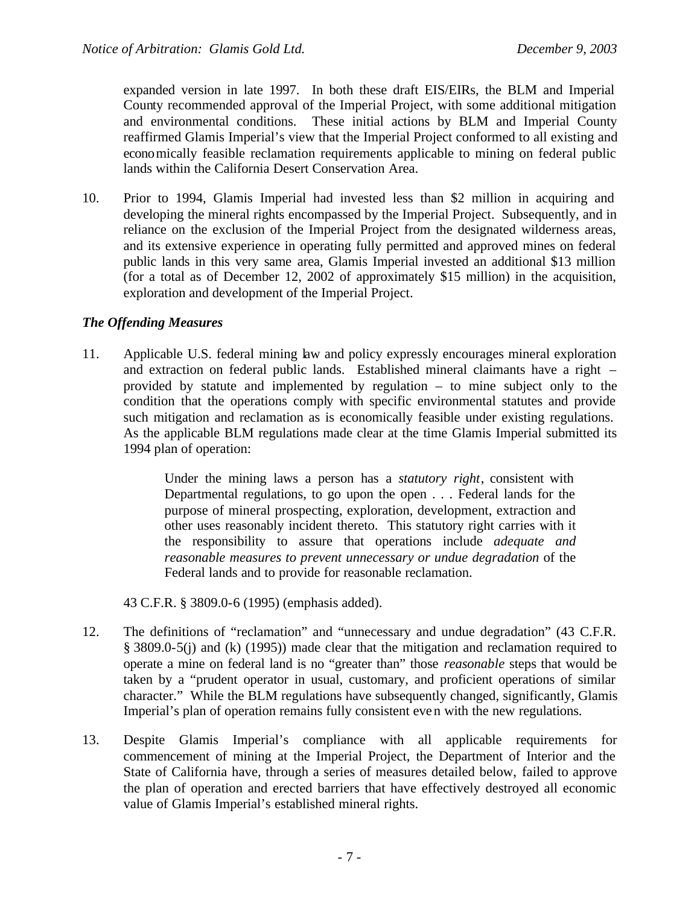expanded version in late 1997. In both these draft EIS/EIRs, the BLM and Imperial County recommended approval of the Imperial Project, with some additional mitigation and environmental conditions. These initial actions by BLM and Imperial County reaffirmed Glamis Imperial's view that the Imperial Project conformed to all existing and economically feasible reclamation requirements applicable to mining on federal public lands within the California Desert Conservation Area.

10. Prior to 1994, Glamis Imperial had invested less than \$2 million in acquiring and developing the mineral rights encompassed by the Imperial Project. Subsequently, and in reliance on the exclusion of the Imperial Project from the designated wilderness areas, and its extensive experience in operating fully permitted and approved mines on federal public lands in this very same area, Glamis Imperial invested an additional \$13 million (for a total as of December 12, 2002 of approximately \$15 million) in the acquisition, exploration and development of the Imperial Project.

#### *The Offending Measures*

11. Applicable U.S. federal mining law and policy expressly encourages mineral exploration and extraction on federal public lands. Established mineral claimants have a right – provided by statute and implemented by regulation – to mine subject only to the condition that the operations comply with specific environmental statutes and provide such mitigation and reclamation as is economically feasible under existing regulations. As the applicable BLM regulations made clear at the time Glamis Imperial submitted its 1994 plan of operation:

> Under the mining laws a person has a *statutory right*, consistent with Departmental regulations, to go upon the open . . . Federal lands for the purpose of mineral prospecting, exploration, development, extraction and other uses reasonably incident thereto. This statutory right carries with it the responsibility to assure that operations include *adequate and reasonable measures to prevent unnecessary or undue degradation* of the Federal lands and to provide for reasonable reclamation.

43 C.F.R. § 3809.0-6 (1995) (emphasis added).

- 12. The definitions of "reclamation" and "unnecessary and undue degradation" (43 C.F.R. § 3809.0-5(j) and (k) (1995)) made clear that the mitigation and reclamation required to operate a mine on federal land is no "greater than" those *reasonable* steps that would be taken by a "prudent operator in usual, customary, and proficient operations of similar character." While the BLM regulations have subsequently changed, significantly, Glamis Imperial's plan of operation remains fully consistent even with the new regulations.
- 13. Despite Glamis Imperial's compliance with all applicable requirements for commencement of mining at the Imperial Project, the Department of Interior and the State of California have, through a series of measures detailed below, failed to approve the plan of operation and erected barriers that have effectively destroyed all economic value of Glamis Imperial's established mineral rights.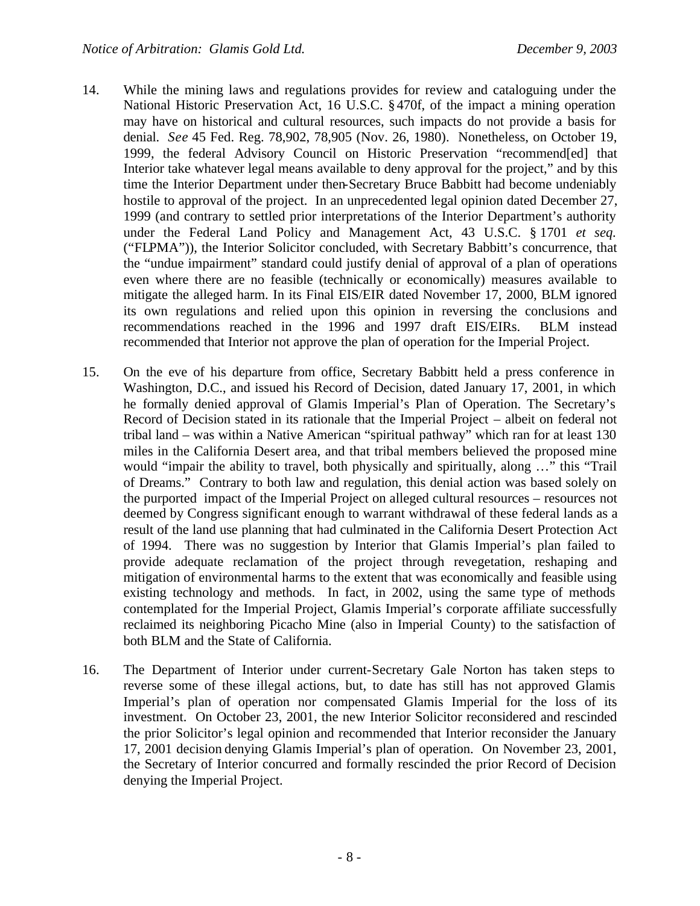- 14. While the mining laws and regulations provides for review and cataloguing under the National Historic Preservation Act, 16 U.S.C. § 470f, of the impact a mining operation may have on historical and cultural resources, such impacts do not provide a basis for denial. *See* 45 Fed. Reg. 78,902, 78,905 (Nov. 26, 1980). Nonetheless, on October 19, 1999, the federal Advisory Council on Historic Preservation "recommend[ed] that Interior take whatever legal means available to deny approval for the project," and by this time the Interior Department under then-Secretary Bruce Babbitt had become undeniably hostile to approval of the project. In an unprecedented legal opinion dated December 27, 1999 (and contrary to settled prior interpretations of the Interior Department's authority under the Federal Land Policy and Management Act, 43 U.S.C. § 1701 *et seq.* ("FLPMA")), the Interior Solicitor concluded, with Secretary Babbitt's concurrence, that the "undue impairment" standard could justify denial of approval of a plan of operations even where there are no feasible (technically or economically) measures available to mitigate the alleged harm. In its Final EIS/EIR dated November 17, 2000, BLM ignored its own regulations and relied upon this opinion in reversing the conclusions and recommendations reached in the 1996 and 1997 draft EIS/EIRs. BLM instead recommended that Interior not approve the plan of operation for the Imperial Project.
- 15. On the eve of his departure from office, Secretary Babbitt held a press conference in Washington, D.C., and issued his Record of Decision, dated January 17, 2001, in which he formally denied approval of Glamis Imperial's Plan of Operation. The Secretary's Record of Decision stated in its rationale that the Imperial Project – albeit on federal not tribal land – was within a Native American "spiritual pathway" which ran for at least 130 miles in the California Desert area, and that tribal members believed the proposed mine would "impair the ability to travel, both physically and spiritually, along …" this "Trail of Dreams." Contrary to both law and regulation, this denial action was based solely on the purported impact of the Imperial Project on alleged cultural resources – resources not deemed by Congress significant enough to warrant withdrawal of these federal lands as a result of the land use planning that had culminated in the California Desert Protection Act of 1994. There was no suggestion by Interior that Glamis Imperial's plan failed to provide adequate reclamation of the project through revegetation, reshaping and mitigation of environmental harms to the extent that was economically and feasible using existing technology and methods. In fact, in 2002, using the same type of methods contemplated for the Imperial Project, Glamis Imperial's corporate affiliate successfully reclaimed its neighboring Picacho Mine (also in Imperial County) to the satisfaction of both BLM and the State of California.
- 16. The Department of Interior under current-Secretary Gale Norton has taken steps to reverse some of these illegal actions, but, to date has still has not approved Glamis Imperial's plan of operation nor compensated Glamis Imperial for the loss of its investment. On October 23, 2001, the new Interior Solicitor reconsidered and rescinded the prior Solicitor's legal opinion and recommended that Interior reconsider the January 17, 2001 decision denying Glamis Imperial's plan of operation. On November 23, 2001, the Secretary of Interior concurred and formally rescinded the prior Record of Decision denying the Imperial Project.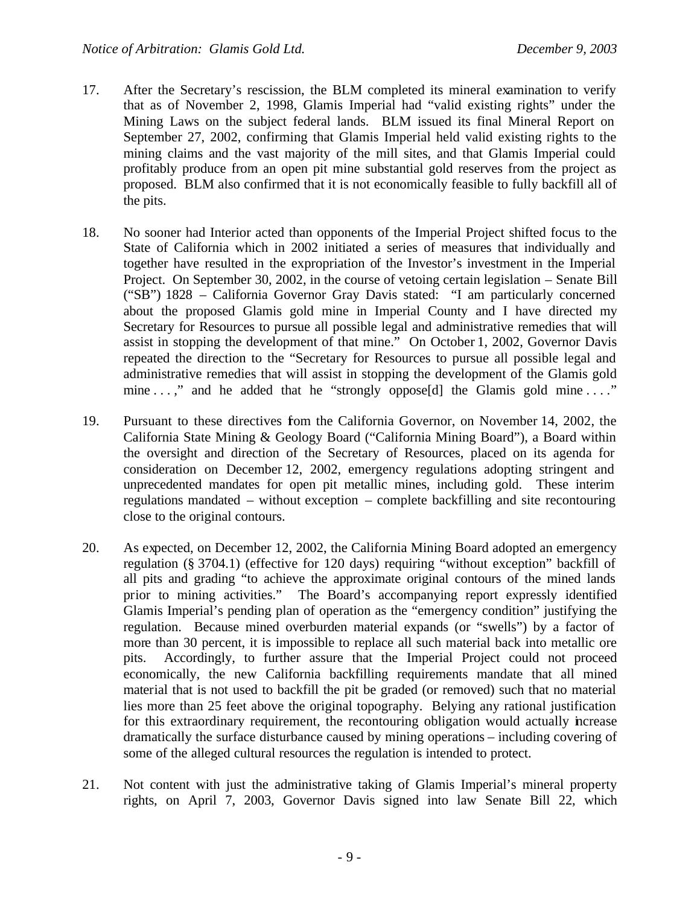- 17. After the Secretary's rescission, the BLM completed its mineral examination to verify that as of November 2, 1998, Glamis Imperial had "valid existing rights" under the Mining Laws on the subject federal lands. BLM issued its final Mineral Report on September 27, 2002, confirming that Glamis Imperial held valid existing rights to the mining claims and the vast majority of the mill sites, and that Glamis Imperial could profitably produce from an open pit mine substantial gold reserves from the project as proposed. BLM also confirmed that it is not economically feasible to fully backfill all of the pits.
- 18. No sooner had Interior acted than opponents of the Imperial Project shifted focus to the State of California which in 2002 initiated a series of measures that individually and together have resulted in the expropriation of the Investor's investment in the Imperial Project. On September 30, 2002, in the course of vetoing certain legislation – Senate Bill ("SB") 1828 – California Governor Gray Davis stated: "I am particularly concerned about the proposed Glamis gold mine in Imperial County and I have directed my Secretary for Resources to pursue all possible legal and administrative remedies that will assist in stopping the development of that mine." On October 1, 2002, Governor Davis repeated the direction to the "Secretary for Resources to pursue all possible legal and administrative remedies that will assist in stopping the development of the Glamis gold mine . . . " and he added that he "strongly oppose[d] the Glamis gold mine . . . "
- 19. Pursuant to these directives from the California Governor, on November 14, 2002, the California State Mining & Geology Board ("California Mining Board"), a Board within the oversight and direction of the Secretary of Resources, placed on its agenda for consideration on December 12, 2002, emergency regulations adopting stringent and unprecedented mandates for open pit metallic mines, including gold. These interim regulations mandated – without exception – complete backfilling and site recontouring close to the original contours.
- 20. As expected, on December 12, 2002, the California Mining Board adopted an emergency regulation (§ 3704.1) (effective for 120 days) requiring "without exception" backfill of all pits and grading "to achieve the approximate original contours of the mined lands prior to mining activities." The Board's accompanying report expressly identified Glamis Imperial's pending plan of operation as the "emergency condition" justifying the regulation. Because mined overburden material expands (or "swells") by a factor of more than 30 percent, it is impossible to replace all such material back into metallic ore pits. Accordingly, to further assure that the Imperial Project could not proceed economically, the new California backfilling requirements mandate that all mined material that is not used to backfill the pit be graded (or removed) such that no material lies more than 25 feet above the original topography. Belying any rational justification for this extraordinary requirement, the recontouring obligation would actually increase dramatically the surface disturbance caused by mining operations – including covering of some of the alleged cultural resources the regulation is intended to protect.
- 21. Not content with just the administrative taking of Glamis Imperial's mineral property rights, on April 7, 2003, Governor Davis signed into law Senate Bill 22, which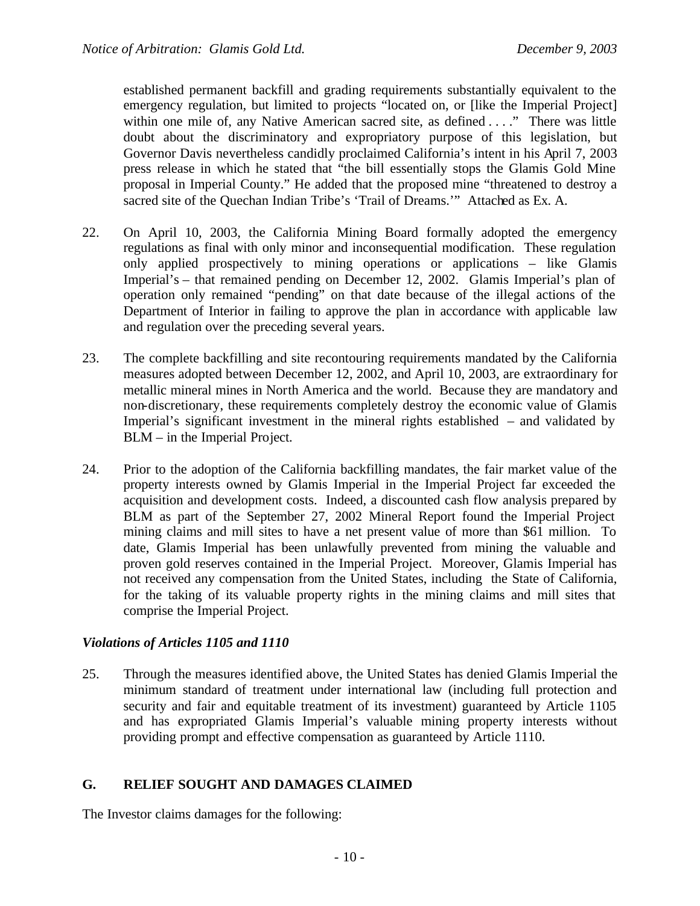established permanent backfill and grading requirements substantially equivalent to the emergency regulation, but limited to projects "located on, or [like the Imperial Project] within one mile of, any Native American sacred site, as defined . . . ." There was little doubt about the discriminatory and expropriatory purpose of this legislation, but Governor Davis nevertheless candidly proclaimed California's intent in his April 7, 2003 press release in which he stated that "the bill essentially stops the Glamis Gold Mine proposal in Imperial County." He added that the proposed mine "threatened to destroy a sacred site of the Quechan Indian Tribe's 'Trail of Dreams.'" Attached as Ex. A.

- 22. On April 10, 2003, the California Mining Board formally adopted the emergency regulations as final with only minor and inconsequential modification. These regulation only applied prospectively to mining operations or applications – like Glamis Imperial's – that remained pending on December 12, 2002. Glamis Imperial's plan of operation only remained "pending" on that date because of the illegal actions of the Department of Interior in failing to approve the plan in accordance with applicable law and regulation over the preceding several years.
- 23. The complete backfilling and site recontouring requirements mandated by the California measures adopted between December 12, 2002, and April 10, 2003, are extraordinary for metallic mineral mines in North America and the world. Because they are mandatory and non-discretionary, these requirements completely destroy the economic value of Glamis Imperial's significant investment in the mineral rights established – and validated by BLM – in the Imperial Project.
- 24. Prior to the adoption of the California backfilling mandates, the fair market value of the property interests owned by Glamis Imperial in the Imperial Project far exceeded the acquisition and development costs. Indeed, a discounted cash flow analysis prepared by BLM as part of the September 27, 2002 Mineral Report found the Imperial Project mining claims and mill sites to have a net present value of more than \$61 million. To date, Glamis Imperial has been unlawfully prevented from mining the valuable and proven gold reserves contained in the Imperial Project. Moreover, Glamis Imperial has not received any compensation from the United States, including the State of California, for the taking of its valuable property rights in the mining claims and mill sites that comprise the Imperial Project.

#### *Violations of Articles 1105 and 1110*

25. Through the measures identified above, the United States has denied Glamis Imperial the minimum standard of treatment under international law (including full protection and security and fair and equitable treatment of its investment) guaranteed by Article 1105 and has expropriated Glamis Imperial's valuable mining property interests without providing prompt and effective compensation as guaranteed by Article 1110.

#### **G. RELIEF SOUGHT AND DAMAGES CLAIMED**

The Investor claims damages for the following: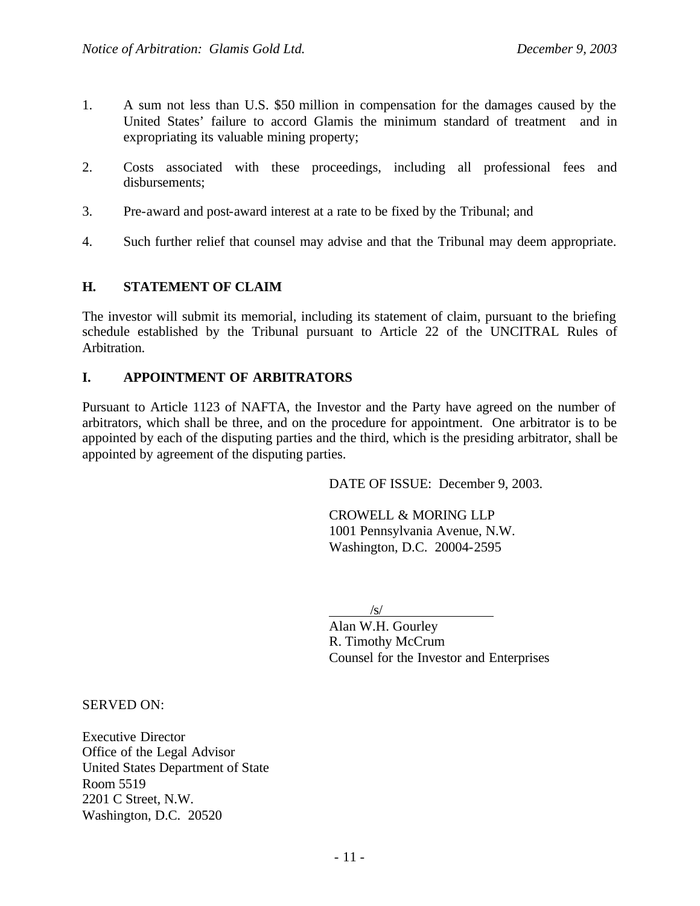- 1. A sum not less than U.S. \$50 million in compensation for the damages caused by the United States' failure to accord Glamis the minimum standard of treatment and in expropriating its valuable mining property;
- 2. Costs associated with these proceedings, including all professional fees and disbursements;
- 3. Pre-award and post-award interest at a rate to be fixed by the Tribunal; and
- 4. Such further relief that counsel may advise and that the Tribunal may deem appropriate.

#### **H. STATEMENT OF CLAIM**

The investor will submit its memorial, including its statement of claim, pursuant to the briefing schedule established by the Tribunal pursuant to Article 22 of the UNCITRAL Rules of Arbitration.

#### **I. APPOINTMENT OF ARBITRATORS**

Pursuant to Article 1123 of NAFTA, the Investor and the Party have agreed on the number of arbitrators, which shall be three, and on the procedure for appointment. One arbitrator is to be appointed by each of the disputing parties and the third, which is the presiding arbitrator, shall be appointed by agreement of the disputing parties.

DATE OF ISSUE: December 9, 2003.

CROWELL & MORING LLP 1001 Pennsylvania Avenue, N.W. Washington, D.C. 20004-2595

 $\sqrt{s}$ /

Alan W.H. Gourley R. Timothy McCrum Counsel for the Investor and Enterprises

SERVED ON:

Executive Director Office of the Legal Advisor United States Department of State Room 5519 2201 C Street, N.W. Washington, D.C. 20520